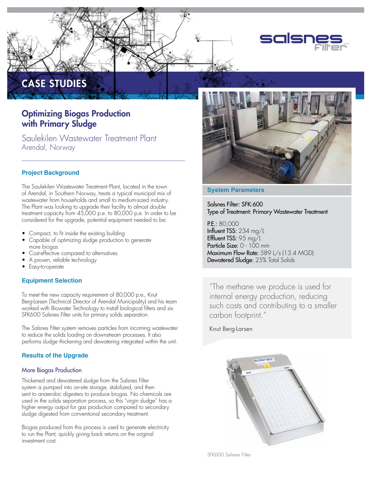

# Optimizing Biogas Production with Primary Sludge

Saulekilen Wastewater Treatment Plant Arendal, Norway

## **Project Background**

CASE STUDIES

The Saulekilen Wastewater Treatment Plant, located in the town of Arendal, in Southern Norway, treats a typical municipal mix of wastewater from households and small to medium-sized industry. The Plant was looking to upgrade their facility to almost double treatment capacity from 45,000 p.e. to 80,000 p.e. In order to be considered for the upgrade, potential equipment needed to be:

- Compact, to fit inside the existing building
- Capable of optimizing sludge production to generate more biogas
- Cost-effective compared to alternatives
- A proven, reliable technology
- Easy-to-operate

## **Equipment Selection**

To meet the new capacity requirement of 80,000 p.e., Knut Berg-Larsen (Technical Director of Arendal Municipality) and his team worked with Biowater Technology to install biological filters and six SFK600 Salsnes Filter units for primary solids separation.

The Salsnes Filter system removes particles from incoming wastewater to reduce the solids loading on downstream processes. It also performs sludge thickening and dewatering integrated within the unit.

## **Results of the Upgrade**

## More Biogas Production

Thickened and dewatered sludge from the Salsnes Filter system is pumped into on-site storage, stabilized, and then sent to anaerobic digesters to produce biogas. No chemicals are used in the solids separation process, so this "virgin sludge" has a higher energy output for gas production compared to secondary sludge digested from conventional secondary treatment.

Biogas produced from this process is used to generate electricity to run the Plant, quickly giving back returns on the original investment cost.



#### **System Parameters**

Salsnes Filter: SFK:600 Type of Treatment: Primary Wastewater Treatment

P.E.: 80,000 Influent TSS: 234 mg/L Effluent TSS: 95 mg/L Particle Size: 0 - 100 mm Maximum Flow Rate: 589 L/s (13.4 MGD) Dewatered Sludge: 25% Total Solids

"The methane we produce is used for internal energy production, reducing such costs and contributing to a smaller carbon footprint."

## Knut Berg-Larsen



SFK600 Salsnes Filter